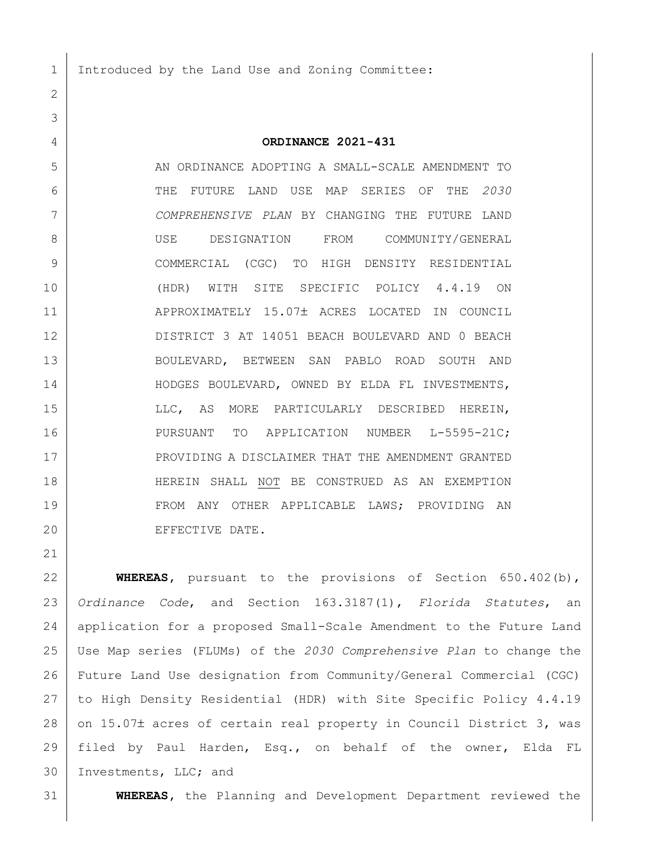Introduced by the Land Use and Zoning Committee:

## **ORDINANCE 2021-431**

 AN ORDINANCE ADOPTING A SMALL-SCALE AMENDMENT TO THE FUTURE LAND USE MAP SERIES OF THE *2030 COMPREHENSIVE PLAN* BY CHANGING THE FUTURE LAND USE DESIGNATION FROM COMMUNITY/GENERAL COMMERCIAL (CGC) TO HIGH DENSITY RESIDENTIAL (HDR) WITH SITE SPECIFIC POLICY 4.4.19 ON 11 | APPROXIMATELY 15.07± ACRES LOCATED IN COUNCIL DISTRICT 3 AT 14051 BEACH BOULEVARD AND 0 BEACH BOULEVARD, BETWEEN SAN PABLO ROAD SOUTH AND 14 HODGES BOULEVARD, OWNED BY ELDA FL INVESTMENTS, 15 | LLC, AS MORE PARTICULARLY DESCRIBED HEREIN, 16 PURSUANT TO APPLICATION NUMBER L-5595-21C; 17 PROVIDING A DISCLAIMER THAT THE AMENDMENT GRANTED HEREIN SHALL NOT BE CONSTRUED AS AN EXEMPTION FROM ANY OTHER APPLICABLE LAWS; PROVIDING AN EFFECTIVE DATE.

 **WHEREAS,** pursuant to the provisions of Section 650.402(b), *Ordinance Code*, and Section 163.3187(1), *Florida Statutes*, an application for a proposed Small-Scale Amendment to the Future Land Use Map series (FLUMs) of the *2030 Comprehensive Plan* to change the Future Land Use designation from Community/General Commercial (CGC) to High Density Residential (HDR) with Site Specific Policy 4.4.19 28 on 15.07± acres of certain real property in Council District 3, was filed by Paul Harden, Esq., on behalf of the owner, Elda FL 30 Investments, LLC; and

**WHEREAS,** the Planning and Development Department reviewed the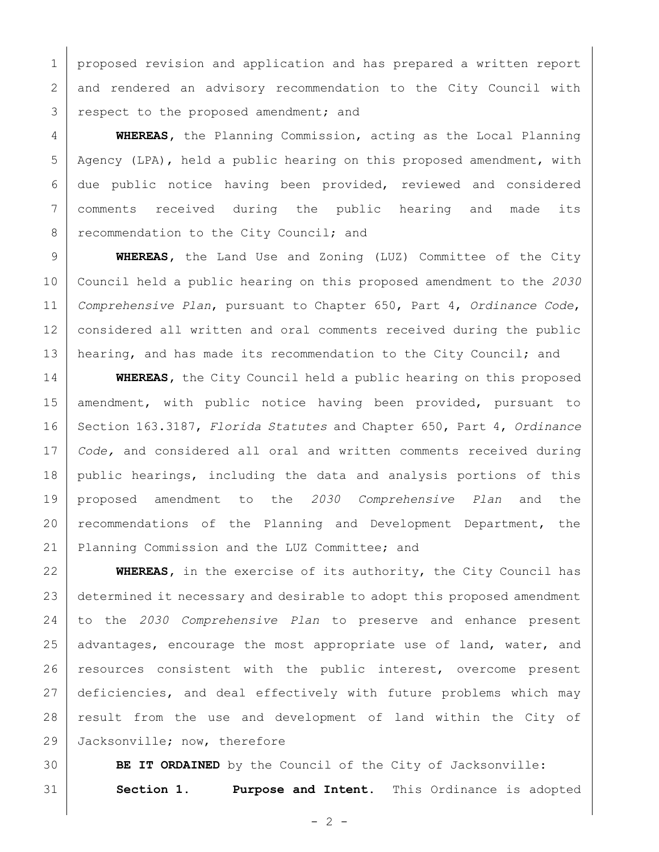1 proposed revision and application and has prepared a written report and rendered an advisory recommendation to the City Council with 3 respect to the proposed amendment; and

 **WHEREAS,** the Planning Commission, acting as the Local Planning Agency (LPA), held a public hearing on this proposed amendment, with due public notice having been provided, reviewed and considered comments received during the public hearing and made its 8 recommendation to the City Council; and

 **WHEREAS,** the Land Use and Zoning (LUZ) Committee of the City Council held a public hearing on this proposed amendment to the *2030 Comprehensive Plan*, pursuant to Chapter 650, Part 4, *Ordinance Code*, considered all written and oral comments received during the public 13 | hearing, and has made its recommendation to the City Council; and

**WHEREAS,** the City Council held a public hearing on this proposed 15 | amendment, with public notice having been provided, pursuant to Section 163.3187, *Florida Statutes* and Chapter 650, Part 4, *Ordinance Code,* and considered all oral and written comments received during public hearings, including the data and analysis portions of this proposed amendment to the *2030 Comprehensive Plan* and the recommendations of the Planning and Development Department, the Planning Commission and the LUZ Committee; and

 **WHEREAS,** in the exercise of its authority, the City Council has determined it necessary and desirable to adopt this proposed amendment to the *2030 Comprehensive Plan* to preserve and enhance present 25 advantages, encourage the most appropriate use of land, water, and 26 | resources consistent with the public interest, overcome present 27 deficiencies, and deal effectively with future problems which may 28 | result from the use and development of land within the City of 29 Jacksonville; now, therefore

 **BE IT ORDAINED** by the Council of the City of Jacksonville: **Section 1. Purpose and Intent.** This Ordinance is adopted

 $- 2 -$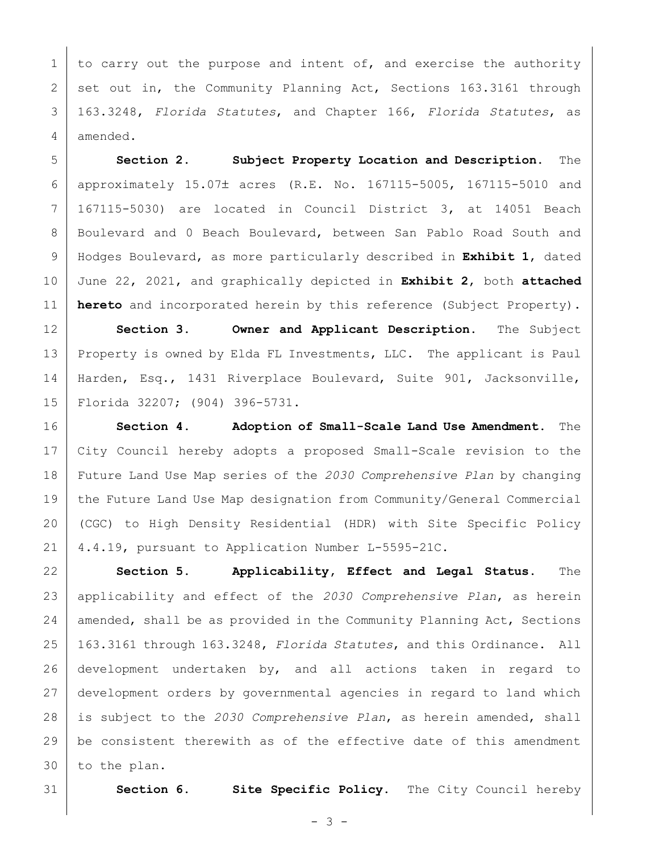1 to carry out the purpose and intent of, and exercise the authority 2 set out in, the Community Planning Act, Sections 163.3161 through 163.3248, *Florida Statutes*, and Chapter 166, *Florida Statutes*, as amended.

 **Section 2. Subject Property Location and Description.** The 6 approximately 15.07± acres (R.E. No. 167115-5005, 167115-5010 and 167115-5030) are located in Council District 3, at 14051 Beach Boulevard and 0 Beach Boulevard, between San Pablo Road South and Hodges Boulevard, as more particularly described in **Exhibit 1**, dated June 22, 2021, and graphically depicted in **Exhibit 2**, both **attached hereto** and incorporated herein by this reference (Subject Property).

 **Section 3. Owner and Applicant Description.** The Subject Property is owned by Elda FL Investments, LLC. The applicant is Paul Harden, Esq., 1431 Riverplace Boulevard, Suite 901, Jacksonville, Florida 32207; (904) 396-5731.

 **Section 4. Adoption of Small-Scale Land Use Amendment.** The City Council hereby adopts a proposed Small-Scale revision to the Future Land Use Map series of the *2030 Comprehensive Plan* by changing 19 the Future Land Use Map designation from Community/General Commercial (CGC) to High Density Residential (HDR) with Site Specific Policy 4.4.19, pursuant to Application Number L-5595-21C.

 **Section 5. Applicability, Effect and Legal Status.** The applicability and effect of the *2030 Comprehensive Plan*, as herein 24 | amended, shall be as provided in the Community Planning Act, Sections 163.3161 through 163.3248, *Florida Statutes*, and this Ordinance. All development undertaken by, and all actions taken in regard to development orders by governmental agencies in regard to land which is subject to the *2030 Comprehensive Plan*, as herein amended, shall be consistent therewith as of the effective date of this amendment to the plan.

**Section 6. Site Specific Policy.** The City Council hereby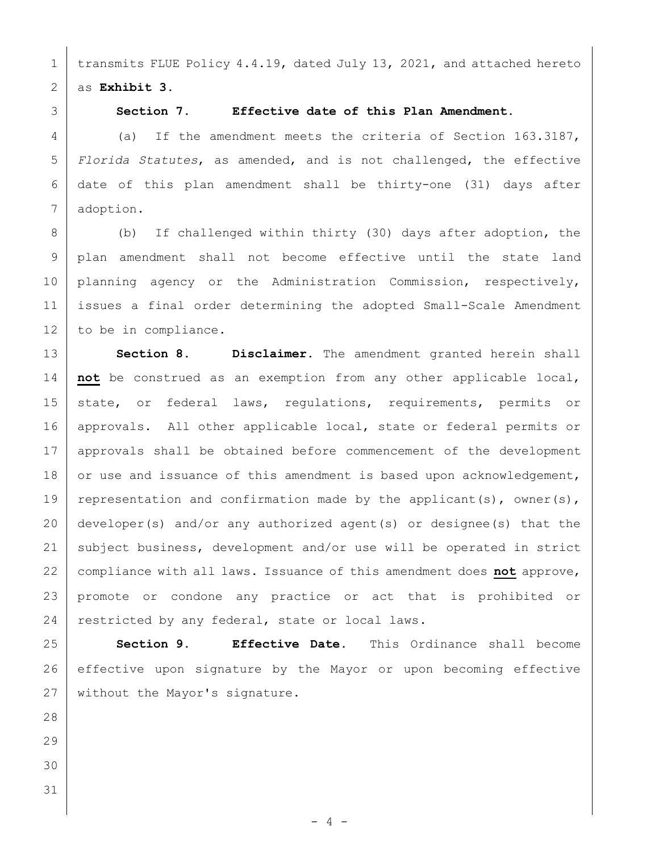1 | transmits FLUE Policy 4.4.19, dated July 13, 2021, and attached hereto as **Exhibit 3**.

## **Section 7. Effective date of this Plan Amendment.**

4 (a) If the amendment meets the criteria of Section 163.3187, *Florida Statutes*, as amended, and is not challenged, the effective date of this plan amendment shall be thirty-one (31) days after adoption.

8 (b) If challenged within thirty (30) days after adoption, the plan amendment shall not become effective until the state land 10 planning agency or the Administration Commission, respectively, issues a final order determining the adopted Small-Scale Amendment 12 to be in compliance.

 **Section 8. Disclaimer.** The amendment granted herein shall **not** be construed as an exemption from any other applicable local, 15 state, or federal laws, regulations, requirements, permits or approvals. All other applicable local, state or federal permits or approvals shall be obtained before commencement of the development 18 or use and issuance of this amendment is based upon acknowledgement, 19 representation and confirmation made by the applicant(s), owner(s), developer(s) and/or any authorized agent(s) or designee(s) that the subject business, development and/or use will be operated in strict compliance with all laws. Issuance of this amendment does **not** approve, promote or condone any practice or act that is prohibited or 24 restricted by any federal, state or local laws.

 **Section 9. Effective Date.** This Ordinance shall become effective upon signature by the Mayor or upon becoming effective 27 without the Mayor's signature.

- 
-